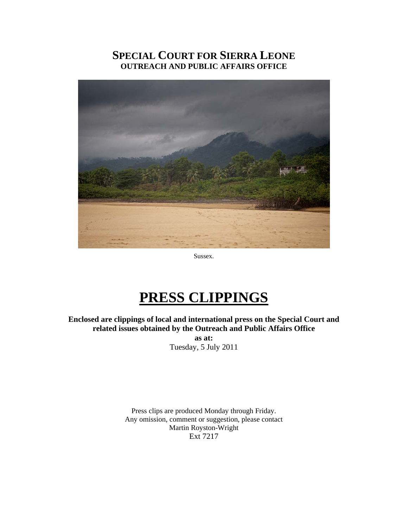## **SPECIAL COURT FOR SIERRA LEONE OUTREACH AND PUBLIC AFFAIRS OFFICE**



Sussex.

# **PRESS CLIPPINGS**

**Enclosed are clippings of local and international press on the Special Court and related issues obtained by the Outreach and Public Affairs Office as at:** 

Tuesday, 5 July 2011

Press clips are produced Monday through Friday. Any omission, comment or suggestion, please contact Martin Royston-Wright Ext 7217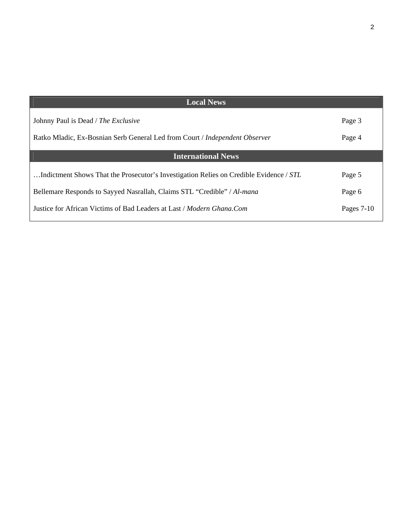| <b>Local News</b>                                                                      |              |
|----------------------------------------------------------------------------------------|--------------|
| Johnny Paul is Dead / The Exclusive                                                    | Page 3       |
| Ratko Mladic, Ex-Bosnian Serb General Led from Court / Independent Observer            | Page 4       |
| <b>International News</b>                                                              |              |
| Indictment Shows That the Prosecutor's Investigation Relies on Credible Evidence / STL | Page 5       |
| Bellemare Responds to Sayyed Nasrallah, Claims STL "Credible" / Al-mana                | Page 6       |
| Justice for African Victims of Bad Leaders at Last / <i>Modern Ghana.Com</i>           | Pages $7-10$ |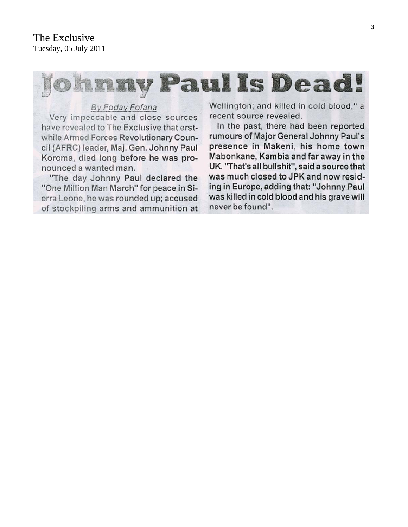

### By Foday Fofana

Very impeccable and close sources have revealed to The Exclusive that erstwhile Armed Forces Revolutionary Council (AFRC) leader, Maj. Gen. Johnny Paul Koroma, died long before he was pronounced a wanted man.

"The day Johnny Paul declared the "One Million Man March" for peace in Sierra Leone, he was rounded up; accused of stockpiling arms and ammunition at Wellington; and killed in cold blood," a recent source revealed.

In the past, there had been reported rumours of Major General Johnny Paul's presence in Makeni, his home town Mabonkane, Kambia and far away in the UK. "That's all bullshit", said a source that was much closed to JPK and now residing in Europe, adding that: "Johnny Paul was killed in cold blood and his grave will never be found".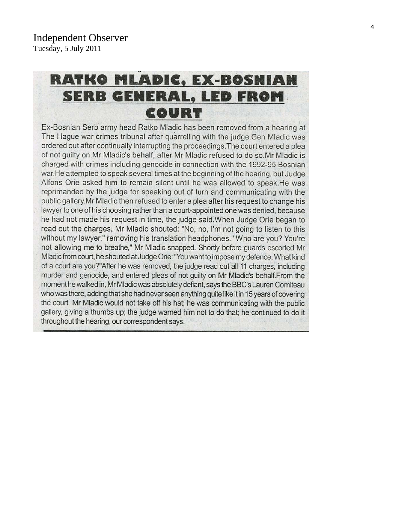# **RATKO MLADIC, EX-BOSNIAN SERB GENERAL, LED FROM.** COURT

Ex-Bosnian Serb army head Ratko Mladic has been removed from a hearing at The Haque war crimes tribunal after quarrelling with the judge. Gen Mladic was ordered out after continually interrupting the proceedings. The court entered a plea of not quilty on Mr Mladic's behalf, after Mr Mladic refused to do so. Mr Mladic is charged with crimes including genocide in connection with the 1992-95 Bosnian war. He attempted to speak several times at the beginning of the hearing, but Judge Alfons Orie asked him to remain silent until he was allowed to speak. He was reprimanded by the judge for speaking out of turn and communicating with the public gallery. Mr Mladic then refused to enter a plea after his request to change his lawyer to one of his choosing rather than a court-appointed one was denied, because he had not made his request in time, the judge said. When Judge Orie began to read out the charges, Mr Mladic shouted: "No, no, I'm not going to listen to this without my lawyer," removing his translation headphones. "Who are you? You're not allowing me to breathe," Mr Mladic snapped. Shortly before guards escorted Mr Mladic from court, he shouted at Judge Orie: "You want to impose my defence. What kind of a court are you?"After he was removed, the judge read out all 11 charges, including murder and genocide, and entered pleas of not quilty on Mr Mladic's behalf. From the moment he walked in, Mr Mladic was absolutely defiant, says the BBC's Lauren Comiteau who was there, adding that she had never seen anything quite like it in 15 years of covering the court. Mr Mladic would not take off his hat; he was communicating with the public gallery, giving a thumbs up; the judge warned him not to do that; he continued to do it throughout the hearing, our correspondent says.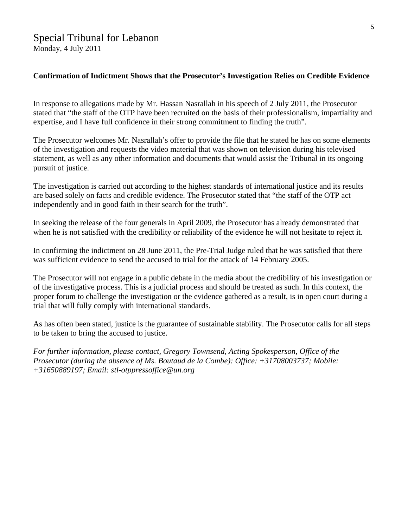#### **Confirmation of Indictment Shows that the Prosecutor's Investigation Relies on Credible Evidence**

In response to allegations made by Mr. Hassan Nasrallah in his speech of 2 July 2011, the Prosecutor stated that "the staff of the OTP have been recruited on the basis of their professionalism, impartiality and expertise, and I have full confidence in their strong commitment to finding the truth".

The Prosecutor welcomes Mr. Nasrallah's offer to provide the file that he stated he has on some elements of the investigation and requests the video material that was shown on television during his televised statement, as well as any other information and documents that would assist the Tribunal in its ongoing pursuit of justice.

The investigation is carried out according to the highest standards of international justice and its results are based solely on facts and credible evidence. The Prosecutor stated that "the staff of the OTP act independently and in good faith in their search for the truth".

In seeking the release of the four generals in April 2009, the Prosecutor has already demonstrated that when he is not satisfied with the credibility or reliability of the evidence he will not hesitate to reject it.

In confirming the indictment on 28 June 2011, the Pre-Trial Judge ruled that he was satisfied that there was sufficient evidence to send the accused to trial for the attack of 14 February 2005.

The Prosecutor will not engage in a public debate in the media about the credibility of his investigation or of the investigative process. This is a judicial process and should be treated as such. In this context, the proper forum to challenge the investigation or the evidence gathered as a result, is in open court during a trial that will fully comply with international standards.

As has often been stated, justice is the guarantee of sustainable stability. The Prosecutor calls for all steps to be taken to bring the accused to justice.

*For further information, please contact, Gregory Townsend, Acting Spokesperson, Office of the Prosecutor (during the absence of Ms. Boutaud de la Combe): Office: +31708003737; Mobile: +31650889197; Email: stl-otppressoffice@un.org*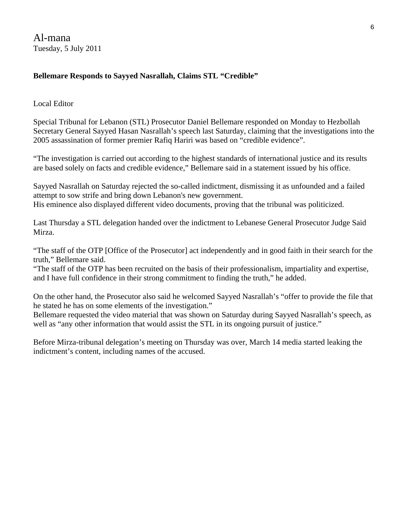Al-mana Tuesday, 5 July 2011

### **Bellemare Responds to Sayyed Nasrallah, Claims STL "Credible"**

#### Local Editor

Special Tribunal for Lebanon (STL) Prosecutor Daniel Bellemare responded on Monday to Hezbollah Secretary General Sayyed Hasan Nasrallah's speech last Saturday, claiming that the investigations into the 2005 assassination of former premier Rafiq Hariri was based on "credible evidence".

"The investigation is carried out according to the highest standards of international justice and its results are based solely on facts and credible evidence," Bellemare said in a statement issued by his office.

Sayyed Nasrallah on Saturday rejected the so-called indictment, dismissing it as unfounded and a failed attempt to sow strife and bring down Lebanon's new government. His eminence also displayed different video documents, proving that the tribunal was politicized.

Last Thursday a STL delegation handed over the indictment to Lebanese General Prosecutor Judge Said Mirza.

"The staff of the OTP [Office of the Prosecutor] act independently and in good faith in their search for the truth," Bellemare said.

"The staff of the OTP has been recruited on the basis of their professionalism, impartiality and expertise, and I have full confidence in their strong commitment to finding the truth," he added.

On the other hand, the Prosecutor also said he welcomed Sayyed Nasrallah's "offer to provide the file that he stated he has on some elements of the investigation."

Bellemare requested the video material that was shown on Saturday during Sayyed Nasrallah's speech, as well as "any other information that would assist the STL in its ongoing pursuit of justice."

Before Mirza-tribunal delegation's meeting on Thursday was over, March 14 media started leaking the indictment's content, including names of the accused.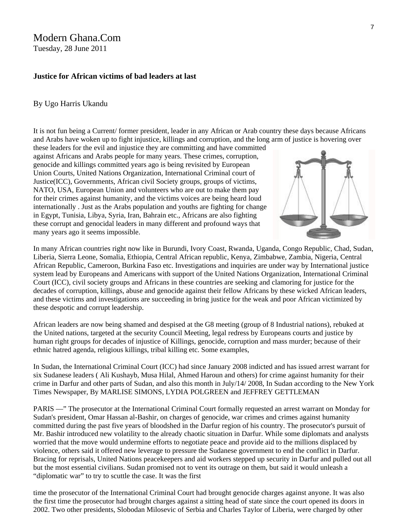## Modern Ghana.Com

Tuesday, 28 June 2011

#### **Justice for African victims of bad leaders at last**

#### By [Ugo Harris Ukandu](http://www.modernghana.com/GhanaHome/columnist/category.asp?menu_id=50&c_id=2350)

It is not fun being a Current/ former president, leader in any African or Arab country these days because Africans and Arabs have woken up to fight injustice, killings and corruption, and the long arm of justice is hovering over

these leaders for the evil and injustice they are committing and have committed against Africans and Arabs people for many years. These crimes, corruption, genocide and killings committed years ago is being revisited by European Union Courts, United Nations Organization, International Criminal court of Justice(ICC), Governments, African civil Society groups, groups of victims, NATO, USA, European Union and volunteers who are out to make them pay for their crimes against humanity, and the victims voices are being heard loud internationally . Just as the Arabs population and youths are fighting for c hange in Egypt, Tunisia, Libya, Syria, Iran, Bahrain etc., Africans are also fighting these corrupt and genocidal leaders in many different and profound ways that many years ago it seems impossible.



In many African countries right now like in Burundi, Ivory Coast, Rwanda, Uganda, Congo Republic, Chad, Sudan, Liberia, Sierra Leone, Somalia, Ethiopia, Central African republic, Kenya, Zimbabwe, Zambia, Nigeria, Central African Republic, Cameroon, Burkina Faso etc. Investigations and inquiries are under way by International justice system lead by Europeans and Americans with support of the United Nations Organization, International Criminal Court (ICC), civil society groups and Africans in these countries are seeking and clamoring for justice for the decades of corruption, killings, abuse and genocide against their fellow Africans by these wicked African leaders, and these victims and investigations are succeeding in bring justice for the weak and poor African victimized by these despotic and corrupt leadership.

African leaders are now being shamed and despised at the G8 meeting (group of 8 Industrial nations), rebuked at the United nations, targeted at the security Council Meeting, legal redress by Europeans courts and justice by human right groups for decades of injustice of Killings, genocide, corruption and mass murder; because of their ethnic hatred agenda, religious killings, tribal killing etc. Some examples,

In Sudan, the International Criminal Court (ICC) had since January 2008 indicted and has issued arrest warrant for six Sudanese leaders ( Ali Kushayb, Musa Hilal, Ahmed Haroun and others) for crime against humanity for their crime in Darfur and other parts of Sudan, and also this month in July/14/ 2008, In Sudan according to the New York Times Newspaper, By MARLISE SIMONS, LYDIA POLGREEN and JEFFREY GETTLEMAN

PARIS —" The prosecutor at the International Criminal Court formally requested an arrest warrant on Monday for Sudan's president, Omar Hassan al-Bashir, on charges of genocide, war crimes and crimes against humanity committed during the past five years of bloodshed in the Darfur region of his country. The prosecutor's pursuit of Mr. Bashir introduced new volatility to the already chaotic situation in Darfur. While some diplomats and analysts worried that the move would undermine efforts to negotiate peace and provide aid to the millions displaced by violence, others said it offered new leverage to pressure the Sudanese government to end the conflict in Darfur. Bracing for reprisals, United Nations peacekeepers and aid workers stepped up security in Darfur and pulled out all but the most essential civilians. Sudan promised not to vent its outrage on them, but said it would unleash a "diplomatic war" to try to scuttle the case. It was the first

time the prosecutor of the International Criminal Court had brought genocide charges against anyone. It was also the first time the prosecutor had brought charges against a sitting head of state since the court opened its doors in 2002. Two other presidents, Slobodan Milosevic of Serbia and Charles Taylor of Liberia, were charged by other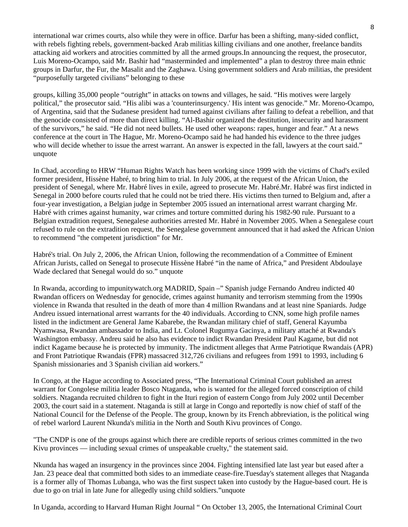international war crimes courts, also while they were in office. Darfur has been a shifting, many-sided conflict, with rebels fighting rebels, government-backed Arab militias killing civilians and one another, freelance bandits attacking aid workers and atrocities committed by all the armed groups.In announcing the request, the prosecutor, Luis Moreno-Ocampo, said Mr. Bashir had "masterminded and implemented" a plan to destroy three main ethnic groups in Darfur, the Fur, the Masalit and the Zaghawa. Using government soldiers and Arab militias, the president "purposefully targeted civilians" belonging to these

groups, killing 35,000 people "outright" in attacks on towns and villages, he said. "His motives were largely political," the prosecutor said. "His alibi was a 'counterinsurgency.' His intent was genocide." Mr. Moreno-Ocampo, of Argentina, said that the Sudanese president had turned against civilians after failing to defeat a rebellion, and that the genocide consisted of more than direct killing. "Al-Bashir organized the destitution, insecurity and harassment of the survivors," he said. "He did not need bullets. He used other weapons: rapes, hunger and fear." At a news conference at the court in The Hague, Mr. Moreno-Ocampo said he had handed his evidence to the three judges who will decide whether to issue the arrest warrant. An answer is expected in the fall, lawyers at the court said." unquote

In Chad, according to HRW "Human Rights Watch has been working since 1999 with the victims of Chad's exiled former president, Hissène Habré, to bring him to trial. In July 2006, at the request of the African Union, the president of Senegal, where Mr. Habré lives in exile, agreed to prosecute Mr. Habré.Mr. Habré was first indicted in Senegal in 2000 before courts ruled that he could not be tried there. His victims then turned to Belgium and, after a four-year investigation, a Belgian judge in September 2005 issued an international arrest warrant charging Mr. Habré with crimes against humanity, war crimes and torture committed during his 1982-90 rule. Pursuant to a Belgian extradition request, Senegalese authorities arrested Mr. Habré in November 2005. When a Senegalese court refused to rule on the extradition request, the Senegalese government announced that it had asked the African Union to recommend "the competent jurisdiction" for Mr.

Habré's trial. On July 2, 2006, the African Union, following the recommendation of a Committee of Eminent African Jurists, called on Senegal to prosecute Hissène Habré "in the name of Africa," and President Abdoulaye Wade declared that Senegal would do so." unquote

In Rwanda, according to impunitywatch.org MADRID, Spain –" Spanish judge Fernando Andreu indicted 40 Rwandan officers on Wednesday for genocide, crimes against humanity and terrorism stemming from the 1990s violence in Rwanda that resulted in the death of more than 4 million Rwandans and at least nine Spaniards. Judge Andreu issued international arrest warrants for the 40 individuals. According to CNN, some high profile names listed in the indictment are General Jame Kabarebe, the Rwandan military chief of staff, General Kayumba Nyamwasa, Rwandan ambassador to India, and Lt. Colonel Rugumya Gacinya, a military attaché at Rwanda's Washington embassy. Andreu said he also has evidence to indict Rwandan President Paul Kagame, but did not indict Kagame because he is protected by immunity. The indictment alleges that Arme Patriotique Rwandais (APR) and Front Patriotique Rwandais (FPR) massacred 312,726 civilians and refugees from 1991 to 1993, including 6 Spanish missionaries and 3 Spanish civilian aid workers."

In Congo, at the Hague according to Associated press, "The International Criminal Court published an arrest warrant for Congolese militia leader Bosco Ntaganda, who is wanted for the alleged forced conscription of child soldiers. Ntaganda recruited children to fight in the Ituri region of eastern Congo from July 2002 until December 2003, the court said in a statement. Ntaganda is still at large in Congo and reportedly is now chief of staff of the National Council for the Defense of the People. The group, known by its French abbreviation, is the political wing of rebel warlord Laurent Nkunda's militia in the North and South Kivu provinces of Congo.

"The CNDP is one of the groups against which there are credible reports of serious crimes committed in the two Kivu provinces — including sexual crimes of unspeakable cruelty," the statement said.

Nkunda has waged an insurgency in the provinces since 2004. Fighting intensified late last year but eased after a Jan. 23 peace deal that committed both sides to an immediate cease-fire.Tuesday's statement alleges that Ntaganda is a former ally of Thomas Lubanga, who was the first suspect taken into custody by the Hague-based court. He is due to go on trial in late June for allegedly using child soldiers."unquote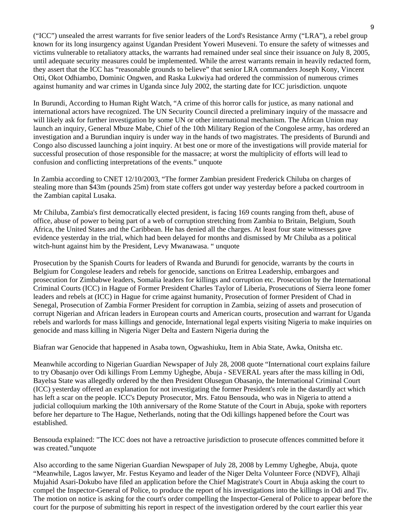("ICC") unsealed the arrest warrants for five senior leaders of the Lord's Resistance Army ("LRA"), a rebel group known for its long insurgency against Ugandan President Yoweri Museveni. To ensure the safety of witnesses and victims vulnerable to retaliatory attacks, the warrants had remained under seal since their issuance on July 8, 2005, until adequate security measures could be implemented. While the arrest warrants remain in heavily redacted form, they assert that the ICC has "reasonable grounds to believe" that senior LRA commanders Joseph Kony, Vincent Otti, Okot Odhiambo, Dominic Ongwen, and Raska Lukwiya had ordered the commission of numerous crimes against humanity and war crimes in Uganda since July 2002, the starting date for ICC jurisdiction. unquote

In Burundi, According to Human Right Watch, "A crime of this horror calls for justice, as many national and international actors have recognized. The UN Security Council directed a preliminary inquiry of the massacre and will likely ask for further investigation by some UN or other international mechanism. The African Union may launch an inquiry, General Mbuze Mabe, Chief of the 10th Military Region of the Congolese army, has ordered an investigation and a Burundian inquiry is under way in the hands of two magistrates. The presidents of Burundi and Congo also discussed launching a joint inquiry. At best one or more of the investigations will provide material for successful prosecution of those responsible for the massacre; at worst the multiplicity of efforts will lead to confusion and conflicting interpretations of the events." unquote

In Zambia according to CNET 12/10/2003, "The former Zambian president Frederick Chiluba on charges of stealing more than \$43m (pounds 25m) from state coffers got under way yesterday before a packed courtroom in the Zambian capital Lusaka.

Mr Chiluba, Zambia's first democratically elected president, is facing 169 counts ranging from theft, abuse of office, abuse of power to being part of a web of corruption stretching from Zambia to Britain, Belgium, South Africa, the United States and the Caribbean. He has denied all the charges. At least four state witnesses gave evidence yesterday in the trial, which had been delayed for months and dismissed by Mr Chiluba as a political witch-hunt against him by the President, Levy Mwanawasa. " unquote

Prosecution by the Spanish Courts for leaders of Rwanda and Burundi for genocide, warrants by the courts in Belgium for Congolese leaders and rebels for genocide, sanctions on Eritrea Leadership, embargoes and prosecution for Zimbabwe leaders, Somalia leaders for killings and corruption etc. Prosecution by the International Criminal Courts (ICC) in Hague of Former President Charles Taylor of Liberia, Prosecutions of Sierra leone fomer leaders and rebels at (ICC) in Hague for crime against humanity, Prosecution of former President of Chad in Senegal, Prosecution of Zambia Former President for corruption in Zambia, seizing of assets and prosecution of corrupt Nigerian and African leaders in European courts and American courts, prosecution and warrant for Uganda rebels and warlords for mass killings and genocide, International legal experts visiting Nigeria to make inquiries on genocide and mass killing in Nigeria Niger Delta and Eastern Nigeria during the

Biafran war Genocide that happened in Asaba town, Ogwashiuku, Item in Abia State, Awka, Onitsha etc.

Meanwhile according to Nigerian Guardian Newspaper of July 28, 2008 quote "International court explains failure to try Obasanjo over Odi killings From Lemmy Ughegbe, Abuja - SEVERAL years after the mass killing in Odi, Bayelsa State was allegedly ordered by the then President Olusegun Obasanjo, the International Criminal Court (ICC) yesterday offered an explanation for not investigating the former President's role in the dastardly act which has left a scar on the people. ICC's Deputy Prosecutor, Mrs. Fatou Bensouda, who was in Nigeria to attend a judicial colloquium marking the 10th anniversary of the Rome Statute of the Court in Abuja, spoke with reporters before her departure to The Hague, Netherlands, noting that the Odi killings happened before the Court was established.

Bensouda explained: "The ICC does not have a retroactive jurisdiction to prosecute offences committed before it was created."unquote

Also according to the same Nigerian Guardian Newspaper of July 28, 2008 by Lemmy Ughegbe, Abuja, quote "Meanwhile, Lagos lawyer, Mr. Festus Keyamo and leader of the Niger Delta Volunteer Force (NDVF), Alhaji Mujahid Asari-Dokubo have filed an application before the Chief Magistrate's Court in Abuja asking the court to compel the Inspector-General of Police, to produce the report of his investigations into the killings in Odi and Tiv. The motion on notice is asking for the court's order compelling the Inspector-General of Police to appear before the court for the purpose of submitting his report in respect of the investigation ordered by the court earlier this year